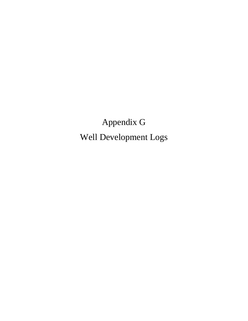Appendix G Well Development Logs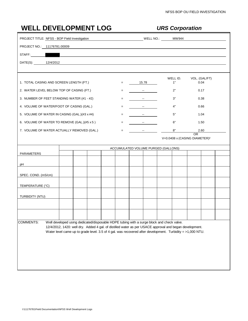| <b>WELL DEVELOPMENT LOG</b>                   |                                                                                                                                                                                                                                      |     |                                     | <b>URS Corporation</b> |                                                 |
|-----------------------------------------------|--------------------------------------------------------------------------------------------------------------------------------------------------------------------------------------------------------------------------------------|-----|-------------------------------------|------------------------|-------------------------------------------------|
| PROJECT TITLE: NFSS - BOP Field Investigation |                                                                                                                                                                                                                                      |     | MW944 WELL NO.:                     |                        |                                                 |
| PROJECT NO.: 11176781.00009                   |                                                                                                                                                                                                                                      |     |                                     |                        |                                                 |
| STAFF: New York STAFF:                        | <u> 1989 - Johann John Stein, markin fan it fjort fan it fjort fan it fjort fan it fjort fan it fjort fan it fjort fan it fjort fan it fjort fan it fjort fan it fjort fan it fjort fan it fjort fan it fjort fan it fjort fan i</u> |     |                                     |                        |                                                 |
| DATE(S): 12/4/2012                            |                                                                                                                                                                                                                                      |     |                                     |                        |                                                 |
|                                               |                                                                                                                                                                                                                                      |     |                                     |                        |                                                 |
| 1. TOTAL CASING AND SCREEN LENGTH (FT.)       |                                                                                                                                                                                                                                      |     | $=$ 15.78                           | WELL ID.<br>1"         | VOL. (GAL/FT)<br>0.04                           |
| 2. WATER LEVEL BELOW TOP OF CASING (FT.)      |                                                                                                                                                                                                                                      |     | and the state of the                | 2"                     | 0.17                                            |
| 3. NUMBER OF FEET STANDING WATER (#1 - #2)    |                                                                                                                                                                                                                                      | $=$ | and the state of the                | 3"                     | 0.38                                            |
| 4. VOLUME OF WATER/FOOT OF CASING (GAL.)      |                                                                                                                                                                                                                                      | $=$ | and the state of the state          | 4"                     | 0.66                                            |
| 5. VOLUME OF WATER IN CASING (GAL.)(#3 x #4)  |                                                                                                                                                                                                                                      | $=$ | and the state of the state of       | 5"                     | 1.04                                            |
| 6. VOLUME OF WATER TO REMOVE (GAL.)(#5 x 5)   |                                                                                                                                                                                                                                      | $=$ |                                     | 6"                     | 1.50                                            |
| 7. VOLUME OF WATER ACTUALLY REMOVED (GAL.)    |                                                                                                                                                                                                                                      | $=$ | and the state of the state          | 8"                     | 2.60                                            |
|                                               |                                                                                                                                                                                                                                      |     |                                     |                        | OR<br>V=0.0408 x (CASING DIAMETER) <sup>2</sup> |
|                                               |                                                                                                                                                                                                                                      |     |                                     |                        |                                                 |
| PARAMETERS                                    |                                                                                                                                                                                                                                      |     | ACCUMULATED VOLUME PURGED (GALLONS) |                        |                                                 |
|                                               |                                                                                                                                                                                                                                      |     |                                     |                        |                                                 |
| рH                                            |                                                                                                                                                                                                                                      |     |                                     |                        |                                                 |
| SPEC. COND. (mS/cm)                           |                                                                                                                                                                                                                                      |     |                                     |                        |                                                 |
| TEMPERATURE (°C)                              |                                                                                                                                                                                                                                      |     |                                     |                        |                                                 |
| TURBIDITY (NTU)                               |                                                                                                                                                                                                                                      |     |                                     |                        |                                                 |
|                                               |                                                                                                                                                                                                                                      |     |                                     |                        |                                                 |
|                                               |                                                                                                                                                                                                                                      |     |                                     |                        |                                                 |
|                                               |                                                                                                                                                                                                                                      |     |                                     |                        |                                                 |
| <b>COMMENTS:</b>                              | Well developed using dedicated/disposable HDPE tubing with a surge block and check valve.<br>12/4/2012, 1420: well dry. Added 4 gal. of distilled water as per USACE approval and began development.                                 |     |                                     |                        |                                                 |
|                                               | Water level came up to grade level. 3.5 of 4 gal. was recovered after development. Turbidity = >1,000 NTU.                                                                                                                           |     |                                     |                        |                                                 |
|                                               |                                                                                                                                                                                                                                      |     |                                     |                        |                                                 |
|                                               |                                                                                                                                                                                                                                      |     |                                     |                        |                                                 |
|                                               |                                                                                                                                                                                                                                      |     |                                     |                        |                                                 |
|                                               |                                                                                                                                                                                                                                      |     |                                     |                        |                                                 |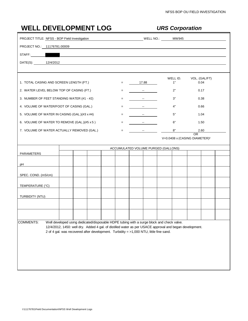| <b>WELL DEVELOPMENT LOG</b>                   |                                                                                           |  |                    |                               | <b>URS Corporation</b>                                                                                  |                       |  |
|-----------------------------------------------|-------------------------------------------------------------------------------------------|--|--------------------|-------------------------------|---------------------------------------------------------------------------------------------------------|-----------------------|--|
| PROJECT TITLE: NFSS - BOP Field Investigation |                                                                                           |  |                    |                               |                                                                                                         |                       |  |
| PROJECT NO.: 11176781.00009                   |                                                                                           |  |                    |                               |                                                                                                         |                       |  |
| STAFF: New York STAFF:                        | <u> 1989 - John Stein, mars and de Barbara (b. 1989)</u>                                  |  |                    |                               |                                                                                                         |                       |  |
| DATE(S): 12/4/2012                            |                                                                                           |  |                    |                               |                                                                                                         |                       |  |
|                                               |                                                                                           |  |                    |                               |                                                                                                         |                       |  |
| 1. TOTAL CASING AND SCREEN LENGTH (FT.)       |                                                                                           |  | $=$ $\sim$         | 17.88                         | WELL ID.<br>1"                                                                                          | VOL. (GAL/FT)<br>0.04 |  |
| 2. WATER LEVEL BELOW TOP OF CASING (FT.)      |                                                                                           |  |                    | and the state of the          | 2"                                                                                                      | 0.17                  |  |
| 3. NUMBER OF FEET STANDING WATER (#1 - #2)    |                                                                                           |  | $=$                |                               | 3"                                                                                                      | 0.38                  |  |
| 4. VOLUME OF WATER/FOOT OF CASING (GAL.)      |                                                                                           |  | $=$                | and the state of the state of | 4"                                                                                                      | 0.66                  |  |
| 5. VOLUME OF WATER IN CASING (GAL.)(#3 x #4)  |                                                                                           |  | $=$                | and the state of the state of | 5"                                                                                                      | 1.04                  |  |
| 6. VOLUME OF WATER TO REMOVE (GAL.)(#5 x 5)   |                                                                                           |  | $=$                | and the state of the state    | 6"                                                                                                      | 1.50                  |  |
| 7. VOLUME OF WATER ACTUALLY REMOVED (GAL.)    |                                                                                           |  | $\equiv$ 100 $\pm$ | and the state of the state    | 8"                                                                                                      | 2.60                  |  |
|                                               |                                                                                           |  |                    |                               | V=0.0408 x (CASING DIAMETER) <sup>2</sup>                                                               | OR.                   |  |
|                                               |                                                                                           |  |                    |                               | ACCUMULATED VOLUME PURGED (GALLONS)                                                                     |                       |  |
| PARAMETERS                                    |                                                                                           |  |                    |                               |                                                                                                         |                       |  |
| рH                                            |                                                                                           |  |                    |                               |                                                                                                         |                       |  |
| SPEC. COND. (mS/cm)                           |                                                                                           |  |                    |                               |                                                                                                         |                       |  |
| TEMPERATURE (°C)                              |                                                                                           |  |                    |                               |                                                                                                         |                       |  |
| TURBIDITY (NTU)                               |                                                                                           |  |                    |                               |                                                                                                         |                       |  |
|                                               |                                                                                           |  |                    |                               |                                                                                                         |                       |  |
|                                               |                                                                                           |  |                    |                               |                                                                                                         |                       |  |
| <b>COMMENTS:</b>                              | Well developed using dedicated/disposable HDPE tubing with a surge block and check valve. |  |                    |                               |                                                                                                         |                       |  |
|                                               |                                                                                           |  |                    |                               | 12/4/2012, 1450: well dry. Added 4 gal. of distilled water as per USACE approval and began development. |                       |  |
|                                               | 2 of 4 gal. was recovered after development. Turbidity = >1,000 NTU, little fine sand.    |  |                    |                               |                                                                                                         |                       |  |
|                                               |                                                                                           |  |                    |                               |                                                                                                         |                       |  |
|                                               |                                                                                           |  |                    |                               |                                                                                                         |                       |  |
|                                               |                                                                                           |  |                    |                               |                                                                                                         |                       |  |
|                                               |                                                                                           |  |                    |                               |                                                                                                         |                       |  |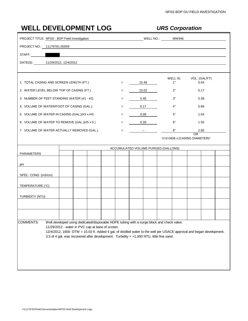| <b>WELL DEVELOPMENT LOG</b>                   |                                                                                                                                                                                                                                           |  |         |                            |       | <b>URS Corporation</b>                                                                                                 |                                                 |  |
|-----------------------------------------------|-------------------------------------------------------------------------------------------------------------------------------------------------------------------------------------------------------------------------------------------|--|---------|----------------------------|-------|------------------------------------------------------------------------------------------------------------------------|-------------------------------------------------|--|
| PROJECT TITLE: NFSS - BOP Field Investigation |                                                                                                                                                                                                                                           |  |         |                            |       |                                                                                                                        |                                                 |  |
| PROJECT NO.: 11176781.00009                   |                                                                                                                                                                                                                                           |  |         |                            |       |                                                                                                                        |                                                 |  |
| STAFF:                                        |                                                                                                                                                                                                                                           |  |         |                            |       |                                                                                                                        |                                                 |  |
| DATE(S): 11/29/2012, 12/4/2012                |                                                                                                                                                                                                                                           |  |         |                            |       |                                                                                                                        |                                                 |  |
|                                               |                                                                                                                                                                                                                                           |  |         |                            |       |                                                                                                                        |                                                 |  |
| 1. TOTAL CASING AND SCREEN LENGTH (FT.)       |                                                                                                                                                                                                                                           |  | $=$ $-$ | 15.48                      |       | WELL ID.<br>1"                                                                                                         | VOL. (GAL/FT)<br>0.04                           |  |
| 2. WATER LEVEL BELOW TOP OF CASING (FT.)      |                                                                                                                                                                                                                                           |  |         |                            | 15.02 | 2"                                                                                                                     | 0.17                                            |  |
| 3. NUMBER OF FEET STANDING WATER (#1 - #2)    |                                                                                                                                                                                                                                           |  | $=$     |                            | 0.46  | 3"                                                                                                                     | 0.38                                            |  |
| 4. VOLUME OF WATER/FOOT OF CASING (GAL.)      |                                                                                                                                                                                                                                           |  | $=$     |                            | 0.17  | 4"                                                                                                                     | 0.66                                            |  |
| 5. VOLUME OF WATER IN CASING (GAL.)(#3 x #4)  |                                                                                                                                                                                                                                           |  | $=$     |                            | 0.08  | 5"                                                                                                                     | 1.04                                            |  |
| 6. VOLUME OF WATER TO REMOVE (GAL.)(#5 x 5)   |                                                                                                                                                                                                                                           |  | $=$     |                            | 0.39  | 6"                                                                                                                     | 1.50                                            |  |
| 7. VOLUME OF WATER ACTUALLY REMOVED (GAL.)    |                                                                                                                                                                                                                                           |  | $=$ .   | and the state of the state |       | 8"                                                                                                                     | 2.60                                            |  |
|                                               |                                                                                                                                                                                                                                           |  |         |                            |       |                                                                                                                        | OR<br>V=0.0408 x (CASING DIAMETER) <sup>2</sup> |  |
|                                               |                                                                                                                                                                                                                                           |  |         |                            |       | ACCUMULATED VOLUME PURGED (GALLONS)                                                                                    |                                                 |  |
| PARAMETERS                                    |                                                                                                                                                                                                                                           |  |         |                            |       |                                                                                                                        |                                                 |  |
| рH                                            |                                                                                                                                                                                                                                           |  |         |                            |       |                                                                                                                        |                                                 |  |
| SPEC. COND. (mS/cm)                           |                                                                                                                                                                                                                                           |  |         |                            |       |                                                                                                                        |                                                 |  |
| TEMPERATURE (°C)                              |                                                                                                                                                                                                                                           |  |         |                            |       |                                                                                                                        |                                                 |  |
| TURBIDITY (NTU)                               |                                                                                                                                                                                                                                           |  |         |                            |       |                                                                                                                        |                                                 |  |
|                                               |                                                                                                                                                                                                                                           |  |         |                            |       |                                                                                                                        |                                                 |  |
|                                               |                                                                                                                                                                                                                                           |  |         |                            |       |                                                                                                                        |                                                 |  |
|                                               |                                                                                                                                                                                                                                           |  |         |                            |       |                                                                                                                        |                                                 |  |
| COMMENTS:                                     | Well developed using dedicated/disposable HDPE tubing with a surge block and check valve.<br>11/29/2012 - water in PVC cap at base of screen.<br>3.5 of 4 gal. was recovered after development. Turbidity = >1,000 NTU, little fine sand. |  |         |                            |       | 12/4/2012, 1600: DTW = 15.03 ft. Added 4 gal. of distilled water to the well per USACE approval and began development. |                                                 |  |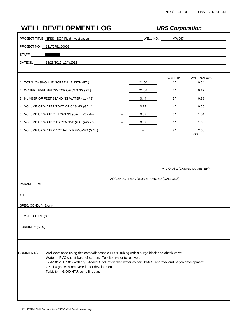| <b>WELL DEVELOPMENT LOG</b>                                                               |                                                                                                                                                                               |     |                                     |                            | <b>URS Corporation</b>                      |      |                       |  |
|-------------------------------------------------------------------------------------------|-------------------------------------------------------------------------------------------------------------------------------------------------------------------------------|-----|-------------------------------------|----------------------------|---------------------------------------------|------|-----------------------|--|
| PROJECT TITLE: NFSS - BOP Field Investigation                                             |                                                                                                                                                                               |     |                                     |                            |                                             |      |                       |  |
| PROJECT NO.: 11176781.00009                                                               |                                                                                                                                                                               |     |                                     |                            |                                             |      |                       |  |
| STAFF:                                                                                    | <u> 1989 - Johann Stein, Amerikaansk politiker (</u>                                                                                                                          |     |                                     |                            |                                             |      |                       |  |
| DATE(S): 11/29/2012, 12/4/2012                                                            |                                                                                                                                                                               |     |                                     |                            |                                             |      |                       |  |
| 1. TOTAL CASING AND SCREEN LENGTH (FT.)                                                   |                                                                                                                                                                               |     |                                     | 21.50                      | WELL ID.<br>1"                              |      | VOL. (GAL/FT)<br>0.04 |  |
| 2. WATER LEVEL BELOW TOP OF CASING (FT.)                                                  |                                                                                                                                                                               |     |                                     | 21.06                      | 2"                                          |      | 0.17                  |  |
| 3. NUMBER OF FEET STANDING WATER (#1 - #2)                                                |                                                                                                                                                                               |     |                                     | 0.44                       | 3"                                          |      |                       |  |
| 4. VOLUME OF WATER/FOOT OF CASING (GAL.)                                                  |                                                                                                                                                                               | $=$ | 0.17                                | 4"                         | 0.38<br>0.66                                |      |                       |  |
| 5. VOLUME OF WATER IN CASING (GAL.)(#3 x #4)                                              |                                                                                                                                                                               |     |                                     | 0.07                       | 5"                                          |      | 1.04                  |  |
|                                                                                           |                                                                                                                                                                               |     | $=$                                 | 0.37                       | 6"                                          | 1.50 |                       |  |
| 6. VOLUME OF WATER TO REMOVE (GAL.)(#5 x 5)<br>7. VOLUME OF WATER ACTUALLY REMOVED (GAL.) |                                                                                                                                                                               |     | $=$<br>$=$                          | and the state of the state | 8"                                          |      | 2.60                  |  |
|                                                                                           |                                                                                                                                                                               |     |                                     |                            |                                             | OR.  |                       |  |
|                                                                                           |                                                                                                                                                                               |     |                                     |                            | $V=0.0408$ x (CASING DIAMETER) <sup>2</sup> |      |                       |  |
|                                                                                           |                                                                                                                                                                               |     |                                     |                            |                                             |      |                       |  |
| <b>PARAMETERS</b>                                                                         |                                                                                                                                                                               |     | ACCUMULATED VOLUME PURGED (GALLONS) |                            |                                             |      |                       |  |
|                                                                                           |                                                                                                                                                                               |     |                                     |                            |                                             |      |                       |  |
|                                                                                           |                                                                                                                                                                               |     |                                     |                            |                                             |      |                       |  |
|                                                                                           |                                                                                                                                                                               |     |                                     |                            |                                             |      |                       |  |
|                                                                                           |                                                                                                                                                                               |     |                                     |                            |                                             |      |                       |  |
|                                                                                           |                                                                                                                                                                               |     |                                     |                            |                                             |      |                       |  |
|                                                                                           |                                                                                                                                                                               |     |                                     |                            |                                             |      |                       |  |
| рH<br>SPEC. COND. (mS/cm)<br>TEMPERATURE (°C)<br>TURBIDITY (NTU)                          |                                                                                                                                                                               |     |                                     |                            |                                             |      |                       |  |
|                                                                                           |                                                                                                                                                                               |     |                                     |                            |                                             |      |                       |  |
| <b>COMMENTS:</b>                                                                          | Well developed using dedicated/disposable HDPE tubing with a surge block and check valve.                                                                                     |     |                                     |                            |                                             |      |                       |  |
|                                                                                           | Water in PVC cap at base of screen. Too little water to recover.<br>12/4/2012, 1320: - well dry. Added 4 gal. of distilled water as per USACE approval and began development. |     |                                     |                            |                                             |      |                       |  |
|                                                                                           | 2.5 of 4 gal. was recovered after development.                                                                                                                                |     |                                     |                            |                                             |      |                       |  |
|                                                                                           | Turbidity = $>1,000$ NTU, some fine sand.                                                                                                                                     |     |                                     |                            |                                             |      |                       |  |
|                                                                                           |                                                                                                                                                                               |     |                                     |                            |                                             |      |                       |  |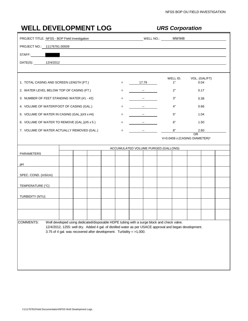|                                               | <b>WELL DEVELOPMENT LOG</b>                                                                                          |         |                                                                                                                                                                                                                                                                                                                                                                                                                                                                        | <b>URS Corporation</b> |                                                 |
|-----------------------------------------------|----------------------------------------------------------------------------------------------------------------------|---------|------------------------------------------------------------------------------------------------------------------------------------------------------------------------------------------------------------------------------------------------------------------------------------------------------------------------------------------------------------------------------------------------------------------------------------------------------------------------|------------------------|-------------------------------------------------|
| PROJECT TITLE: NFSS - BOP Field Investigation |                                                                                                                      |         | MW948                                                                                                                                                                                                                                                                                                                                                                                                                                                                  |                        |                                                 |
| PROJECT NO.: 11176781.00009                   |                                                                                                                      |         |                                                                                                                                                                                                                                                                                                                                                                                                                                                                        |                        |                                                 |
|                                               |                                                                                                                      |         |                                                                                                                                                                                                                                                                                                                                                                                                                                                                        |                        |                                                 |
| DATE(S): 12/4/2012                            | <u> 1980 - Jan Samuel Barbara, martin da shekara 1980 - An tsa a tsa a tsa a tsa a tsa a tsa a tsa a tsa a tsa a</u> |         |                                                                                                                                                                                                                                                                                                                                                                                                                                                                        |                        |                                                 |
|                                               |                                                                                                                      |         |                                                                                                                                                                                                                                                                                                                                                                                                                                                                        |                        |                                                 |
| 1. TOTAL CASING AND SCREEN LENGTH (FT.)       |                                                                                                                      | $=$ $-$ | 17.79                                                                                                                                                                                                                                                                                                                                                                                                                                                                  | WELL ID.<br>1"         | VOL. (GAL/FT)<br>0.04                           |
| 2. WATER LEVEL BELOW TOP OF CASING (FT.)      |                                                                                                                      | $=$     | and the state of the                                                                                                                                                                                                                                                                                                                                                                                                                                                   | 2"                     | 0.17                                            |
| 3. NUMBER OF FEET STANDING WATER (#1 - #2)    |                                                                                                                      | $=$ .   | <u> 1999 - Andrea State</u>                                                                                                                                                                                                                                                                                                                                                                                                                                            | 3"                     | 0.38                                            |
| 4. VOLUME OF WATER/FOOT OF CASING (GAL.)      |                                                                                                                      | $=$ $-$ | and the state of the state                                                                                                                                                                                                                                                                                                                                                                                                                                             | 4"                     | 0.66                                            |
| 5. VOLUME OF WATER IN CASING (GAL.)(#3 x #4)  |                                                                                                                      | $=$     | and the state of the state of                                                                                                                                                                                                                                                                                                                                                                                                                                          | 5"                     | 1.04                                            |
| 6. VOLUME OF WATER TO REMOVE (GAL.)(#5 x 5)   |                                                                                                                      |         | $\frac{1}{\sqrt{2}}\left( \frac{1}{\sqrt{2}}\right) \left( \frac{1}{\sqrt{2}}\right) \left( \frac{1}{\sqrt{2}}\right) \left( \frac{1}{\sqrt{2}}\right) \left( \frac{1}{\sqrt{2}}\right) \left( \frac{1}{\sqrt{2}}\right) \left( \frac{1}{\sqrt{2}}\right) \left( \frac{1}{\sqrt{2}}\right) \left( \frac{1}{\sqrt{2}}\right) \left( \frac{1}{\sqrt{2}}\right) \left( \frac{1}{\sqrt{2}}\right) \left( \frac{1}{\sqrt{2}}\right) \left( \frac{1}{\sqrt{2}}\right) \left$ | 6"                     | 1.50                                            |
|                                               | 7. VOLUME OF WATER ACTUALLY REMOVED (GAL.)                                                                           |         | $\frac{1}{\sqrt{2}}\left( \frac{1}{\sqrt{2}}\right) \left( \frac{1}{\sqrt{2}}\right) \left( \frac{1}{\sqrt{2}}\right) \left( \frac{1}{\sqrt{2}}\right) \left( \frac{1}{\sqrt{2}}\right) \left( \frac{1}{\sqrt{2}}\right) \left( \frac{1}{\sqrt{2}}\right) \left( \frac{1}{\sqrt{2}}\right) \left( \frac{1}{\sqrt{2}}\right) \left( \frac{1}{\sqrt{2}}\right) \left( \frac{1}{\sqrt{2}}\right) \left( \frac{1}{\sqrt{2}}\right) \left( \frac{1}{\sqrt{2}}\right) \left$ | 8"                     | 2.60                                            |
|                                               |                                                                                                                      |         |                                                                                                                                                                                                                                                                                                                                                                                                                                                                        |                        | OR<br>V=0.0408 x (CASING DIAMETER) <sup>2</sup> |
|                                               |                                                                                                                      |         | ACCUMULATED VOLUME PURGED (GALLONS)                                                                                                                                                                                                                                                                                                                                                                                                                                    |                        |                                                 |
| <b>PARAMETERS</b>                             |                                                                                                                      |         |                                                                                                                                                                                                                                                                                                                                                                                                                                                                        |                        |                                                 |
| рH                                            |                                                                                                                      |         |                                                                                                                                                                                                                                                                                                                                                                                                                                                                        |                        |                                                 |
| SPEC. COND. (mS/cm)                           |                                                                                                                      |         |                                                                                                                                                                                                                                                                                                                                                                                                                                                                        |                        |                                                 |
| TEMPERATURE (°C)                              |                                                                                                                      |         |                                                                                                                                                                                                                                                                                                                                                                                                                                                                        |                        |                                                 |
| TURBIDITY (NTU)                               |                                                                                                                      |         |                                                                                                                                                                                                                                                                                                                                                                                                                                                                        |                        |                                                 |
|                                               |                                                                                                                      |         |                                                                                                                                                                                                                                                                                                                                                                                                                                                                        |                        |                                                 |
|                                               |                                                                                                                      |         |                                                                                                                                                                                                                                                                                                                                                                                                                                                                        |                        |                                                 |
| <b>COMMENTS:</b>                              | Well developed using dedicated/disposable HDPE tubing with a surge block and check valve.                            |         |                                                                                                                                                                                                                                                                                                                                                                                                                                                                        |                        |                                                 |
|                                               | 12/4/2012, 1255: well dry. Added 4 gal. of distilled water as per USACE approval and began development.              |         |                                                                                                                                                                                                                                                                                                                                                                                                                                                                        |                        |                                                 |
|                                               | 3.75 of 4 gal. was recovered after development. Turbidity = $>1,000$ .                                               |         |                                                                                                                                                                                                                                                                                                                                                                                                                                                                        |                        |                                                 |
|                                               |                                                                                                                      |         |                                                                                                                                                                                                                                                                                                                                                                                                                                                                        |                        |                                                 |
|                                               |                                                                                                                      |         |                                                                                                                                                                                                                                                                                                                                                                                                                                                                        |                        |                                                 |
|                                               |                                                                                                                      |         |                                                                                                                                                                                                                                                                                                                                                                                                                                                                        |                        |                                                 |
|                                               |                                                                                                                      |         |                                                                                                                                                                                                                                                                                                                                                                                                                                                                        |                        |                                                 |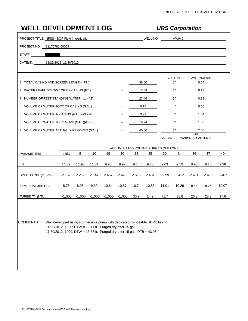| <b>WELL DEVELOPMENT LOG</b>                   |                                                                                                                                         |        |        |        |        |       |       |                                     | <b>URS Corporation</b>                    |               |       |       |
|-----------------------------------------------|-----------------------------------------------------------------------------------------------------------------------------------------|--------|--------|--------|--------|-------|-------|-------------------------------------|-------------------------------------------|---------------|-------|-------|
| PROJECT TITLE: NFSS - BOP Field Investigation |                                                                                                                                         |        |        |        |        |       |       | WELL NO.: MW949                     |                                           |               |       |       |
| PROJECT NO.: 11176781.00009                   |                                                                                                                                         |        |        |        |        |       |       |                                     |                                           |               |       |       |
| STAFF:                                        |                                                                                                                                         |        |        |        |        |       |       |                                     |                                           |               |       |       |
| DATE(S): 11/29/2012, 11/30/2012               |                                                                                                                                         |        |        |        |        |       |       |                                     |                                           |               |       |       |
|                                               |                                                                                                                                         |        |        |        |        |       |       |                                     |                                           |               |       |       |
| 1. TOTAL CASING AND SCREEN LENGTH (FT.)       |                                                                                                                                         |        |        |        | $=$    |       | 36.50 |                                     | WELL ID.<br>1"                            | VOL. (GAL/FT) | 0.04  |       |
| 2. WATER LEVEL BELOW TOP OF CASING (FT.)      |                                                                                                                                         |        |        |        | $=$    |       | 13.04 |                                     | 2"                                        |               | 0.17  |       |
| 3. NUMBER OF FEET STANDING WATER (#1 - #2)    |                                                                                                                                         |        |        |        |        |       | 23.46 |                                     | 3"                                        | 0.38          |       |       |
| 4. VOLUME OF WATER/FOOT OF CASING (GAL.)      |                                                                                                                                         |        |        |        | $=$    |       | 0.17  |                                     | 4"                                        |               | 0.66  |       |
| 5. VOLUME OF WATER IN CASING (GAL.)(#3 x #4)  |                                                                                                                                         |        |        |        |        |       | 3.99  |                                     | 5"                                        |               | 1.04  |       |
| 6. VOLUME OF WATER TO REMOVE (GAL.)(#5 x 5)   |                                                                                                                                         |        |        |        | $=$    |       | 19.94 |                                     | 6"                                        |               | 1.50  |       |
| 7. VOLUME OF WATER ACTUALLY REMOVED (GAL.)    |                                                                                                                                         |        |        |        | $=$    |       | 40.00 |                                     | 8"                                        | <b>OR</b>     | 2.60  |       |
|                                               |                                                                                                                                         |        |        |        |        |       |       |                                     | V=0.0408 x (CASING DIAMETER) <sup>2</sup> |               |       |       |
|                                               |                                                                                                                                         |        |        |        |        |       |       | ACCUMULATED VOLUME PURGED (GALLONS) |                                           |               |       |       |
| PARAMETERS                                    | Initial                                                                                                                                 | 5      | 10     | 15     | 20     | 24    | 25    | 30                                  | 34                                        | 36            | 37    | 40    |
| рH                                            | 11.77                                                                                                                                   | 11.90  | 11.81  | 9.98   | 9.92   | 9.18  | 9.70  | 9.63                                | 9.59                                      | 8.90          | 9.15  | 9.38  |
| SPEC. COND. (mS/cm)                           | 2.152                                                                                                                                   | 2.212  | 2.147  | 2.457  | 2.428  | 2.518 | 2.431 | 2.399                               | 2.412                                     | 2.414         | 2.410 | 2.407 |
| TEMPERATURE (°C)                              | 8.76                                                                                                                                    | 8.95   | 9.39   | 10.64  | 10.87  | 10.74 | 10.88 | 11.01                               | 10.29                                     | 9.43          | 9.77  | 10.07 |
| TURBIDITY (NTU)                               | >1,000                                                                                                                                  | >1,000 | >1,000 | >1,000 | >1,000 | 30.9  | 14.9  | 71.7                                | 35.8                                      | 26.3          | 25.3  | 17.6  |
|                                               |                                                                                                                                         |        |        |        |        |       |       |                                     |                                           |               |       |       |
|                                               |                                                                                                                                         |        |        |        |        |       |       |                                     |                                           |               |       |       |
| <b>COMMENTS:</b>                              | Well developed using submersible pump with dedicated/disposable HDPE tubing.                                                            |        |        |        |        |       |       |                                     |                                           |               |       |       |
|                                               | 11/29/2012, 1320: DTW = 19.41 ft. Purged dry after 25 gal.<br>11/30/2012, 1000: DTW = 13.88 ft. Purged dry after 15 gal. DTB = 43.96 ft |        |        |        |        |       |       |                                     |                                           |               |       |       |
|                                               |                                                                                                                                         |        |        |        |        |       |       |                                     |                                           |               |       |       |
|                                               |                                                                                                                                         |        |        |        |        |       |       |                                     |                                           |               |       |       |
|                                               |                                                                                                                                         |        |        |        |        |       |       |                                     |                                           |               |       |       |
|                                               |                                                                                                                                         |        |        |        |        |       |       |                                     |                                           |               |       |       |
|                                               |                                                                                                                                         |        |        |        |        |       |       |                                     |                                           |               |       |       |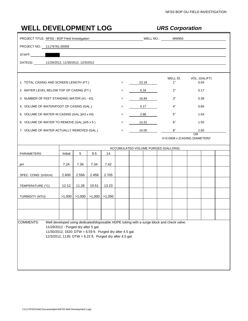| <b>WELL DEVELOPMENT LOG</b>                   |                                                                                                                                                                 |       |                                |        | <b>URS Corporation</b> |                                     |       |  |                |                                                             |                       |  |
|-----------------------------------------------|-----------------------------------------------------------------------------------------------------------------------------------------------------------------|-------|--------------------------------|--------|------------------------|-------------------------------------|-------|--|----------------|-------------------------------------------------------------|-----------------------|--|
| PROJECT TITLE: NFSS - BOP Field Investigation |                                                                                                                                                                 |       |                                |        |                        |                                     |       |  |                |                                                             |                       |  |
| PROJECT NO.: 11176781.00009                   |                                                                                                                                                                 |       |                                |        |                        |                                     |       |  |                |                                                             |                       |  |
| STAFF:                                        |                                                                                                                                                                 |       |                                |        |                        |                                     |       |  |                |                                                             |                       |  |
| DATE(S): 11/29/2012, 11/30/2012, 12/3/2012    |                                                                                                                                                                 |       |                                |        |                        |                                     |       |  |                |                                                             |                       |  |
|                                               |                                                                                                                                                                 |       |                                |        |                        |                                     |       |  |                |                                                             |                       |  |
| 1. TOTAL CASING AND SCREEN LENGTH (FT.)       |                                                                                                                                                                 |       |                                |        | $=$                    |                                     | 23.18 |  | WELL ID.<br>1" |                                                             | VOL. (GAL/FT)<br>0.04 |  |
| 2. WATER LEVEL BELOW TOP OF CASING (FT.)      |                                                                                                                                                                 |       |                                |        | $=$                    |                                     | 6.34  |  | 2"             |                                                             | 0.17                  |  |
| 3. NUMBER OF FEET STANDING WATER (#1 - #2)    |                                                                                                                                                                 |       |                                |        | $=$                    |                                     | 16.84 |  | 3"             |                                                             | 0.38                  |  |
| 4. VOLUME OF WATER/FOOT OF CASING (GAL.)      |                                                                                                                                                                 |       |                                |        |                        |                                     | 0.17  |  | 4"             |                                                             | 0.66                  |  |
| 5. VOLUME OF WATER IN CASING (GAL.)(#3 x #4)  |                                                                                                                                                                 |       |                                |        | $=$                    |                                     | 2.86  |  | 5"             |                                                             | 1.04                  |  |
| 6. VOLUME OF WATER TO REMOVE (GAL.)(#5 x 5)   |                                                                                                                                                                 |       |                                |        | $=$                    |                                     | 14.31 |  | 6"             |                                                             | 1.50                  |  |
| 7. VOLUME OF WATER ACTUALLY REMOVED (GAL.)    |                                                                                                                                                                 |       |                                |        | $=$                    |                                     | 14.00 |  | 8"             |                                                             | 2.60                  |  |
|                                               |                                                                                                                                                                 |       |                                |        |                        |                                     |       |  |                | 0 <sub>R</sub><br>V=0.0408 x (CASING DIAMETER) <sup>2</sup> |                       |  |
|                                               |                                                                                                                                                                 |       |                                |        |                        | ACCUMULATED VOLUME PURGED (GALLONS) |       |  |                |                                                             |                       |  |
| PARAMETERS                                    | Initial                                                                                                                                                         | 5     | 9.5                            | 14     |                        |                                     |       |  |                |                                                             |                       |  |
| рH                                            | 7.24                                                                                                                                                            | 7.34  | 7.34                           | 7.42   |                        |                                     |       |  |                |                                                             |                       |  |
| SPEC. COND. (mS/cm)                           | 2.600                                                                                                                                                           | 2.556 | 2.458                          | 2.705  |                        |                                     |       |  |                |                                                             |                       |  |
| TEMPERATURE (°C)                              | 12.12                                                                                                                                                           | 11.28 | 10.51                          | 13.23  |                        |                                     |       |  |                |                                                             |                       |  |
| TURBIDITY (NTU)                               |                                                                                                                                                                 |       | $>1,000$   $>1,000$   $>1,000$ | >1,000 |                        |                                     |       |  |                |                                                             |                       |  |
|                                               |                                                                                                                                                                 |       |                                |        |                        |                                     |       |  |                |                                                             |                       |  |
|                                               |                                                                                                                                                                 |       |                                |        |                        |                                     |       |  |                |                                                             |                       |  |
| <b>COMMENTS:</b>                              | Well developed using dedicated/disposable HDPE tubing with a surge block and check valve.                                                                       |       |                                |        |                        |                                     |       |  |                |                                                             |                       |  |
|                                               | 11/29/2012 - Purged dry after 5 gal.<br>11/30/2012, 1620: DTW = 6.59 ft. Purged dry after 4.5 gal.<br>12/3/2012, 1135: DTW = 6.22 ft. Purged dry after 4.5 gal. |       |                                |        |                        |                                     |       |  |                |                                                             |                       |  |
|                                               |                                                                                                                                                                 |       |                                |        |                        |                                     |       |  |                |                                                             |                       |  |
|                                               |                                                                                                                                                                 |       |                                |        |                        |                                     |       |  |                |                                                             |                       |  |
|                                               |                                                                                                                                                                 |       |                                |        |                        |                                     |       |  |                |                                                             |                       |  |
|                                               |                                                                                                                                                                 |       |                                |        |                        |                                     |       |  |                |                                                             |                       |  |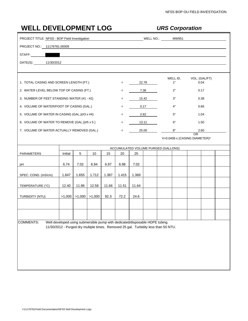| <b>WELL DEVELOPMENT LOG</b>                   |                                                                              |       |                                                |       |       |       |       | <b>URS Corporation</b>                                                              |                       |  |
|-----------------------------------------------|------------------------------------------------------------------------------|-------|------------------------------------------------|-------|-------|-------|-------|-------------------------------------------------------------------------------------|-----------------------|--|
| PROJECT TITLE: NFSS - BOP Field Investigation |                                                                              |       |                                                |       |       |       |       |                                                                                     |                       |  |
| PROJECT NO.: 11176781.00009                   |                                                                              |       |                                                |       |       |       |       |                                                                                     |                       |  |
| STAFF:                                        |                                                                              |       | <u> 1989 - Johann Stein, marwolaethau a bh</u> |       |       |       |       |                                                                                     |                       |  |
| DATE(S): 11/30/2012                           |                                                                              |       |                                                |       |       |       |       |                                                                                     |                       |  |
|                                               |                                                                              |       |                                                |       |       |       |       |                                                                                     |                       |  |
| 1. TOTAL CASING AND SCREEN LENGTH (FT.)       |                                                                              |       |                                                |       | $=$   |       | 22.78 | WELL ID.<br>1"                                                                      | VOL. (GAL/FT)<br>0.04 |  |
| 2. WATER LEVEL BELOW TOP OF CASING (FT.)      |                                                                              |       |                                                |       |       |       | 7.36  | 2"                                                                                  | 0.17                  |  |
| 3. NUMBER OF FEET STANDING WATER (#1 - #2)    |                                                                              |       |                                                |       |       |       | 15.42 | 3"                                                                                  | 0.38                  |  |
| 4. VOLUME OF WATER/FOOT OF CASING (GAL.)      |                                                                              |       |                                                |       | $=$   |       | 0.17  | 4"                                                                                  | 0.66                  |  |
| 5. VOLUME OF WATER IN CASING (GAL.)(#3 x #4)  |                                                                              |       |                                                |       | $=$   |       | 2.62  | 5"                                                                                  | 1.04                  |  |
| 6. VOLUME OF WATER TO REMOVE (GAL.)(#5 x 5)   |                                                                              |       |                                                |       | $=$   |       | 13.11 | 6"                                                                                  | 1.50                  |  |
| 7. VOLUME OF WATER ACTUALLY REMOVED (GAL.)    |                                                                              |       |                                                |       | $=$   |       | 25.00 | $8\mathrm{"}$                                                                       | 2.60                  |  |
|                                               |                                                                              |       |                                                |       |       |       |       | V=0.0408 x (CASING DIAMETER) <sup>2</sup>                                           | <b>OR</b>             |  |
|                                               |                                                                              |       |                                                |       |       |       |       | ACCUMULATED VOLUME PURGED (GALLONS)                                                 |                       |  |
| PARAMETERS                                    | Initial                                                                      | 5     | 10                                             | 15    | 20    | 25    |       |                                                                                     |                       |  |
| рH                                            | 6.74                                                                         | 7.02  | 6.94                                           | 6.97  | 6.98  | 7.02  |       |                                                                                     |                       |  |
| SPEC. COND. (mS/cm)                           | 1.847                                                                        | 1.655 | 1.712                                          | 1.387 | 1.415 | 1.369 |       |                                                                                     |                       |  |
| TEMPERATURE (°C)                              | 12.40                                                                        | 11.86 | 12.58                                          | 11.66 | 11.51 | 11.64 |       |                                                                                     |                       |  |
| TURBIDITY (NTU)                               |                                                                              |       | $>1,000$   $>1,000$   $>1,000$                 | 92.3  | 72.2  | 24.6  |       |                                                                                     |                       |  |
|                                               |                                                                              |       |                                                |       |       |       |       |                                                                                     |                       |  |
|                                               |                                                                              |       |                                                |       |       |       |       |                                                                                     |                       |  |
| <b>COMMENTS:</b>                              | Well developed using submersible pump with dedicated/disposable HDPE tubing. |       |                                                |       |       |       |       |                                                                                     |                       |  |
|                                               |                                                                              |       |                                                |       |       |       |       | 11/30/2012 - Purged dry multiple times. Removed 25 gal. Turbidity less than 50 NTU. |                       |  |
|                                               |                                                                              |       |                                                |       |       |       |       |                                                                                     |                       |  |
|                                               |                                                                              |       |                                                |       |       |       |       |                                                                                     |                       |  |
|                                               |                                                                              |       |                                                |       |       |       |       |                                                                                     |                       |  |
|                                               |                                                                              |       |                                                |       |       |       |       |                                                                                     |                       |  |
|                                               |                                                                              |       |                                                |       |       |       |       |                                                                                     |                       |  |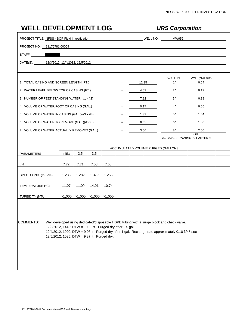| <b>WELL DEVELOPMENT LOG</b>                   |                                                            |        |        |                                                                        |                   |       | <b>URS Corporation</b>                                                                              |                                                 |  |
|-----------------------------------------------|------------------------------------------------------------|--------|--------|------------------------------------------------------------------------|-------------------|-------|-----------------------------------------------------------------------------------------------------|-------------------------------------------------|--|
| PROJECT TITLE: NFSS - BOP Field Investigation |                                                            |        |        |                                                                        |                   |       | MW952 WELL NO.: MW952                                                                               |                                                 |  |
| PROJECT NO.: 11176781.00009                   |                                                            |        |        |                                                                        |                   |       |                                                                                                     |                                                 |  |
| STAFF:                                        |                                                            |        |        | <u> 1980 - Jan Samuel Barbara, margaret eta politikaria (h. 1980).</u> |                   |       |                                                                                                     |                                                 |  |
| DATE(S): 12/3/2012, 12/4/2012, 12/5/2012      |                                                            |        |        |                                                                        |                   |       |                                                                                                     |                                                 |  |
|                                               |                                                            |        |        |                                                                        |                   |       |                                                                                                     |                                                 |  |
| 1. TOTAL CASING AND SCREEN LENGTH (FT.)       |                                                            |        |        |                                                                        | $=$               | 12.35 | WELL ID.<br>1"                                                                                      | VOL. (GAL/FT)<br>0.04                           |  |
| 2. WATER LEVEL BELOW TOP OF CASING (FT.)      |                                                            |        |        |                                                                        | $=$               | 4.53  | 2"                                                                                                  | 0.17                                            |  |
| 3. NUMBER OF FEET STANDING WATER (#1 - #2)    |                                                            |        |        |                                                                        |                   | 7.82  | 3"                                                                                                  | 0.38                                            |  |
| 4. VOLUME OF WATER/FOOT OF CASING (GAL.)      |                                                            |        |        |                                                                        | $\qquad \qquad =$ | 0.17  | 4"                                                                                                  | 0.66                                            |  |
| 5. VOLUME OF WATER IN CASING (GAL.)(#3 x #4)  |                                                            |        |        |                                                                        | $=$               | 1.33  | 5"                                                                                                  | 1.04                                            |  |
| 6. VOLUME OF WATER TO REMOVE (GAL.)(#5 x 5)   |                                                            |        |        |                                                                        | $=$               | 6.65  | 6"                                                                                                  | 1.50                                            |  |
| 7. VOLUME OF WATER ACTUALLY REMOVED (GAL.)    |                                                            |        |        |                                                                        | $=$               | 3.50  | 8"                                                                                                  | 2.60                                            |  |
|                                               |                                                            |        |        |                                                                        |                   |       |                                                                                                     | OR<br>V=0.0408 x (CASING DIAMETER) <sup>2</sup> |  |
|                                               |                                                            |        |        |                                                                        |                   |       | ACCUMULATED VOLUME PURGED (GALLONS)                                                                 |                                                 |  |
| <b>PARAMETERS</b>                             | Initial                                                    | 2.5    | 3.5    |                                                                        |                   |       |                                                                                                     |                                                 |  |
| рH                                            | 7.72                                                       | 7.71   | 7.53   | 7.53                                                                   |                   |       |                                                                                                     |                                                 |  |
| SPEC. COND. (mS/cm)                           | 1.283                                                      | 1.282  | 1.379  | 1.255                                                                  |                   |       |                                                                                                     |                                                 |  |
| TEMPERATURE (°C)                              | 11.07                                                      | 11.09  | 14.01  | 10.74                                                                  |                   |       |                                                                                                     |                                                 |  |
| TURBIDITY (NTU)                               | >1,000                                                     | >1,000 | >1,000 | >1,000                                                                 |                   |       |                                                                                                     |                                                 |  |
|                                               |                                                            |        |        |                                                                        |                   |       |                                                                                                     |                                                 |  |
|                                               |                                                            |        |        |                                                                        |                   |       |                                                                                                     |                                                 |  |
| <b>COMMENTS:</b>                              |                                                            |        |        |                                                                        |                   |       | Well developed using dedicated/disposable HDPE tubing with a surge block and check valve.           |                                                 |  |
|                                               | 12/3/2012, 1445: DTW = 10.56 ft. Purged dry after 2.5 gal. |        |        |                                                                        |                   |       | 12/4/2012, 1020: DTW = 9.03 ft. Purged dry after 1 gal. Recharge rate approximately 0.10 ft/45 sec. |                                                 |  |
|                                               | 12/5/2012, 1035: DTW = 9.87 ft. Purged dry.                |        |        |                                                                        |                   |       |                                                                                                     |                                                 |  |
|                                               |                                                            |        |        |                                                                        |                   |       |                                                                                                     |                                                 |  |
|                                               |                                                            |        |        |                                                                        |                   |       |                                                                                                     |                                                 |  |
|                                               |                                                            |        |        |                                                                        |                   |       |                                                                                                     |                                                 |  |
|                                               |                                                            |        |        |                                                                        |                   |       |                                                                                                     |                                                 |  |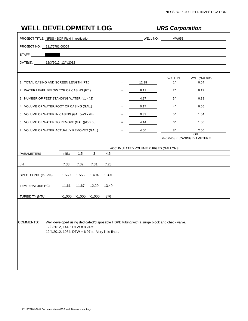| <b>WELL DEVELOPMENT LOG</b>                   |                                                    |                                |       |       |     |                                                                                                                       | <b>URS Corporation</b>                                                                    |                                                        |  |
|-----------------------------------------------|----------------------------------------------------|--------------------------------|-------|-------|-----|-----------------------------------------------------------------------------------------------------------------------|-------------------------------------------------------------------------------------------|--------------------------------------------------------|--|
| PROJECT TITLE: NFSS - BOP Field Investigation |                                                    |                                |       |       |     |                                                                                                                       |                                                                                           |                                                        |  |
| PROJECT NO.: 11176781.00009                   |                                                    |                                |       |       |     |                                                                                                                       |                                                                                           |                                                        |  |
| STAFF:                                        |                                                    |                                |       |       |     | <u> 1989 - Johann Harry Harry Harry Harry Harry Harry Harry Harry Harry Harry Harry Harry Harry Harry Harry Harry</u> |                                                                                           |                                                        |  |
| DATE(S): 12/3/2012, 12/4/2012                 |                                                    |                                |       |       |     |                                                                                                                       |                                                                                           |                                                        |  |
|                                               |                                                    |                                |       |       |     |                                                                                                                       |                                                                                           |                                                        |  |
| 1. TOTAL CASING AND SCREEN LENGTH (FT.)       |                                                    |                                |       |       | $=$ | 12.98                                                                                                                 | WELL ID.<br>1"                                                                            | VOL. (GAL/FT)<br>0.04                                  |  |
| 2. WATER LEVEL BELOW TOP OF CASING (FT.)      |                                                    |                                |       |       | $=$ | 8.11                                                                                                                  | 2"                                                                                        | 0.17                                                   |  |
| 3. NUMBER OF FEET STANDING WATER (#1 - #2)    |                                                    |                                |       |       | $=$ | 4.87                                                                                                                  | 3"                                                                                        | 0.38                                                   |  |
| 4. VOLUME OF WATER/FOOT OF CASING (GAL.)      |                                                    |                                |       |       | $=$ | 0.17                                                                                                                  | 4"                                                                                        | 0.66                                                   |  |
| 5. VOLUME OF WATER IN CASING (GAL.)(#3 x #4)  |                                                    |                                |       |       | $=$ | 0.83                                                                                                                  | 5"                                                                                        | 1.04                                                   |  |
| 6. VOLUME OF WATER TO REMOVE (GAL.)(#5 x 5)   |                                                    |                                |       |       | $=$ | 4.14                                                                                                                  | 6"                                                                                        | 1.50                                                   |  |
| 7. VOLUME OF WATER ACTUALLY REMOVED (GAL.)    |                                                    |                                |       |       | $=$ | 4.50                                                                                                                  | $8"$                                                                                      | 2.60                                                   |  |
|                                               |                                                    |                                |       |       |     |                                                                                                                       |                                                                                           | <b>OR</b><br>V=0.0408 x (CASING DIAMETER) <sup>2</sup> |  |
|                                               |                                                    |                                |       |       |     |                                                                                                                       | ACCUMULATED VOLUME PURGED (GALLONS)                                                       |                                                        |  |
| PARAMETERS                                    | Initial                                            | 1.5                            | 3     | 4.5   |     |                                                                                                                       |                                                                                           |                                                        |  |
| рH                                            | 7.33                                               | 7.32                           | 7.31  | 7.23  |     |                                                                                                                       |                                                                                           |                                                        |  |
|                                               |                                                    |                                |       |       |     |                                                                                                                       |                                                                                           |                                                        |  |
| SPEC. COND. (mS/cm)                           | 1.560                                              | 1.555                          | 1.404 | 1.391 |     |                                                                                                                       |                                                                                           |                                                        |  |
| TEMPERATURE (°C)                              | 11.61                                              | 11.67                          | 12.29 | 13.49 |     |                                                                                                                       |                                                                                           |                                                        |  |
| TURBIDITY (NTU)                               |                                                    | $>1,000$   $>1,000$   $>1,000$ |       | 876   |     |                                                                                                                       |                                                                                           |                                                        |  |
|                                               |                                                    |                                |       |       |     |                                                                                                                       |                                                                                           |                                                        |  |
|                                               |                                                    |                                |       |       |     |                                                                                                                       |                                                                                           |                                                        |  |
|                                               |                                                    |                                |       |       |     |                                                                                                                       |                                                                                           |                                                        |  |
| <b>COMMENTS:</b>                              | 12/3/2012, 1445: DTW = 8.24 ft.                    |                                |       |       |     |                                                                                                                       | Well developed using dedicated/disposable HDPE tubing with a surge block and check valve. |                                                        |  |
|                                               | 12/4/2012, 1034: DTW = 6.97 ft. Very little fines. |                                |       |       |     |                                                                                                                       |                                                                                           |                                                        |  |
|                                               |                                                    |                                |       |       |     |                                                                                                                       |                                                                                           |                                                        |  |
|                                               |                                                    |                                |       |       |     |                                                                                                                       |                                                                                           |                                                        |  |
|                                               |                                                    |                                |       |       |     |                                                                                                                       |                                                                                           |                                                        |  |
|                                               |                                                    |                                |       |       |     |                                                                                                                       |                                                                                           |                                                        |  |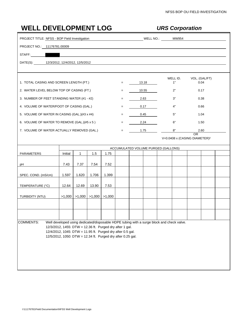| <b>WELL DEVELOPMENT LOG</b>                   |                                                                                                                           |              |                   |                                                    |     |       |       | <b>URS Corporation</b>                                                                    |                                                 |  |
|-----------------------------------------------|---------------------------------------------------------------------------------------------------------------------------|--------------|-------------------|----------------------------------------------------|-----|-------|-------|-------------------------------------------------------------------------------------------|-------------------------------------------------|--|
| PROJECT TITLE: NFSS - BOP Field Investigation |                                                                                                                           |              |                   |                                                    |     |       |       |                                                                                           |                                                 |  |
| PROJECT NO.: 11176781.00009                   |                                                                                                                           |              |                   |                                                    |     |       |       |                                                                                           |                                                 |  |
| STAFF:                                        |                                                                                                                           |              |                   | <u> 1989 - John Stein, Amerikaansk politiker (</u> |     |       |       |                                                                                           |                                                 |  |
| DATE(S): 12/3/2012, 12/4/2012, 12/5/2012      |                                                                                                                           |              |                   |                                                    |     |       |       |                                                                                           |                                                 |  |
|                                               |                                                                                                                           |              |                   |                                                    |     |       |       |                                                                                           |                                                 |  |
| 1. TOTAL CASING AND SCREEN LENGTH (FT.)       |                                                                                                                           |              |                   |                                                    | $=$ | 13.18 |       | WELL ID.<br>1"                                                                            | VOL. (GAL/FT)<br>0.04                           |  |
| 2. WATER LEVEL BELOW TOP OF CASING (FT.)      |                                                                                                                           |              |                   |                                                    | $=$ |       | 10.55 | 2"                                                                                        | 0.17                                            |  |
| 3. NUMBER OF FEET STANDING WATER (#1 - #2)    |                                                                                                                           |              |                   |                                                    | $=$ |       | 2.63  | 3"                                                                                        | 0.38                                            |  |
| 4. VOLUME OF WATER/FOOT OF CASING (GAL.)      |                                                                                                                           |              |                   |                                                    | $=$ |       | 0.17  | 4"                                                                                        | 0.66                                            |  |
| 5. VOLUME OF WATER IN CASING (GAL.)(#3 x #4)  |                                                                                                                           |              |                   |                                                    | $=$ |       | 0.45  | 5"                                                                                        | 1.04                                            |  |
| 6. VOLUME OF WATER TO REMOVE (GAL.)(#5 x 5)   |                                                                                                                           |              |                   |                                                    | $=$ |       | 2.24  | 6"                                                                                        | 1.50                                            |  |
| 7. VOLUME OF WATER ACTUALLY REMOVED (GAL.)    |                                                                                                                           |              |                   |                                                    | $=$ | 1.75  |       | 8"                                                                                        | 2.60                                            |  |
|                                               |                                                                                                                           |              |                   |                                                    |     |       |       |                                                                                           | OR<br>V=0.0408 x (CASING DIAMETER) <sup>2</sup> |  |
|                                               |                                                                                                                           |              |                   |                                                    |     |       |       | ACCUMULATED VOLUME PURGED (GALLONS)                                                       |                                                 |  |
| <b>PARAMETERS</b>                             | Initial                                                                                                                   | $\mathbf{1}$ | 1.5               | 1.75                                               |     |       |       |                                                                                           |                                                 |  |
| рH                                            | 7.43                                                                                                                      | 7.37         | 7.54              | 7.52                                               |     |       |       |                                                                                           |                                                 |  |
| SPEC. COND. (mS/cm)                           | 1.597                                                                                                                     | 1.620        | 1.706             | 1.399                                              |     |       |       |                                                                                           |                                                 |  |
| TEMPERATURE (°C)                              | 12.64                                                                                                                     | 12.69        | 13.90             | 7.53                                               |     |       |       |                                                                                           |                                                 |  |
| TURBIDITY (NTU)                               | >1,000                                                                                                                    |              | $>1,000$ $>1,000$ | >1,000                                             |     |       |       |                                                                                           |                                                 |  |
|                                               |                                                                                                                           |              |                   |                                                    |     |       |       |                                                                                           |                                                 |  |
|                                               |                                                                                                                           |              |                   |                                                    |     |       |       |                                                                                           |                                                 |  |
| <b>COMMENTS:</b>                              |                                                                                                                           |              |                   |                                                    |     |       |       | Well developed using dedicated/disposable HDPE tubing with a surge block and check valve. |                                                 |  |
|                                               | 12/3/2012, 1455: DTW = 12.36 ft. Purged dry after 1 gal.                                                                  |              |                   |                                                    |     |       |       |                                                                                           |                                                 |  |
|                                               | 12/4/2012, 1045: DTW = 11.95 ft. Purged dry after 0.5 gal.<br>12/5/2012, 1050: DTW = 12.34 ft. Purged dry after 0.25 gal. |              |                   |                                                    |     |       |       |                                                                                           |                                                 |  |
|                                               |                                                                                                                           |              |                   |                                                    |     |       |       |                                                                                           |                                                 |  |
|                                               |                                                                                                                           |              |                   |                                                    |     |       |       |                                                                                           |                                                 |  |
|                                               |                                                                                                                           |              |                   |                                                    |     |       |       |                                                                                           |                                                 |  |
|                                               |                                                                                                                           |              |                   |                                                    |     |       |       |                                                                                           |                                                 |  |
|                                               |                                                                                                                           |              |                   |                                                    |     |       |       |                                                                                           |                                                 |  |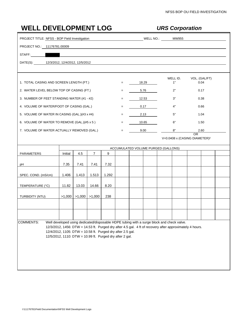|                                               | <b>WELL DEVELOPMENT LOG</b>                                                                                            |                   |                |       |     |                      |                                     |  | <b>URS Corporation</b> |                                                                                                          |      |  |  |  |  |
|-----------------------------------------------|------------------------------------------------------------------------------------------------------------------------|-------------------|----------------|-------|-----|----------------------|-------------------------------------|--|------------------------|----------------------------------------------------------------------------------------------------------|------|--|--|--|--|
| PROJECT TITLE: NFSS - BOP Field Investigation |                                                                                                                        |                   |                |       |     | MELL NO.: 2008 MW955 |                                     |  |                        |                                                                                                          |      |  |  |  |  |
| PROJECT NO.: 11176781.00009                   |                                                                                                                        |                   |                |       |     |                      |                                     |  |                        |                                                                                                          |      |  |  |  |  |
| STAFF:                                        |                                                                                                                        |                   |                |       |     |                      |                                     |  |                        |                                                                                                          |      |  |  |  |  |
| DATE(S): 12/3/2012, 12/4/2012, 12/5/2012      |                                                                                                                        |                   |                |       |     |                      |                                     |  |                        |                                                                                                          |      |  |  |  |  |
|                                               |                                                                                                                        |                   |                |       |     |                      |                                     |  |                        |                                                                                                          |      |  |  |  |  |
| 1. TOTAL CASING AND SCREEN LENGTH (FT.)       |                                                                                                                        |                   |                |       | $=$ |                      | 18.29                               |  | WELL ID.<br>1"         | VOL. (GAL/FT)                                                                                            | 0.04 |  |  |  |  |
| 2. WATER LEVEL BELOW TOP OF CASING (FT.)      |                                                                                                                        |                   |                |       | $=$ |                      | 5.76                                |  | 2"                     |                                                                                                          | 0.17 |  |  |  |  |
| 3. NUMBER OF FEET STANDING WATER (#1 - #2)    |                                                                                                                        |                   |                |       |     |                      | 12.53                               |  | 3"                     | 0.38                                                                                                     |      |  |  |  |  |
| 4. VOLUME OF WATER/FOOT OF CASING (GAL.)      |                                                                                                                        |                   |                |       |     |                      | 0.17                                |  | 4"                     |                                                                                                          | 0.66 |  |  |  |  |
| 5. VOLUME OF WATER IN CASING (GAL.)(#3 x #4)  |                                                                                                                        |                   |                |       | $=$ |                      | 2.13                                |  | 5"                     |                                                                                                          | 1.04 |  |  |  |  |
| 6. VOLUME OF WATER TO REMOVE (GAL.)(#5 x 5)   |                                                                                                                        |                   |                |       | $=$ |                      | 10.65                               |  | 6"                     |                                                                                                          | 1.50 |  |  |  |  |
| 7. VOLUME OF WATER ACTUALLY REMOVED (GAL.)    |                                                                                                                        |                   |                |       | $=$ |                      | 9.00                                |  | 8"                     | 2.60                                                                                                     |      |  |  |  |  |
|                                               |                                                                                                                        |                   |                |       |     |                      |                                     |  |                        | OR.<br>V=0.0408 x (CASING DIAMETER) <sup>2</sup>                                                         |      |  |  |  |  |
|                                               |                                                                                                                        |                   |                |       |     |                      | ACCUMULATED VOLUME PURGED (GALLONS) |  |                        |                                                                                                          |      |  |  |  |  |
| PARAMETERS                                    | Initial                                                                                                                | 4.5               | $\overline{7}$ | 9     |     |                      |                                     |  |                        |                                                                                                          |      |  |  |  |  |
| рH                                            | 7.35                                                                                                                   | 7.41              | 7.41           | 7.32  |     |                      |                                     |  |                        |                                                                                                          |      |  |  |  |  |
| SPEC. COND. (mS/cm)                           | 1.406                                                                                                                  | 1.413             | 1.513          | 1.292 |     |                      |                                     |  |                        |                                                                                                          |      |  |  |  |  |
| TEMPERATURE (°C)                              | 11.82                                                                                                                  | 13.03             | 14.66          | 8.20  |     |                      |                                     |  |                        |                                                                                                          |      |  |  |  |  |
| TURBIDITY (NTU)                               | >1,000                                                                                                                 | $>1,000$ $>1,000$ |                | 238   |     |                      |                                     |  |                        |                                                                                                          |      |  |  |  |  |
|                                               |                                                                                                                        |                   |                |       |     |                      |                                     |  |                        |                                                                                                          |      |  |  |  |  |
|                                               |                                                                                                                        |                   |                |       |     |                      |                                     |  |                        |                                                                                                          |      |  |  |  |  |
| <b>COMMENTS:</b>                              | Well developed using dedicated/disposable HDPE tubing with a surge block and check valve.                              |                   |                |       |     |                      |                                     |  |                        |                                                                                                          |      |  |  |  |  |
|                                               | 12/4/2012, 1105: DTW = 10.58 ft. Purged dry after 2.5 gal.<br>12/5/2012, 1110: DTW = 10.99 ft. Purged dry after 2 gal. |                   |                |       |     |                      |                                     |  |                        | 12/3/2012, 1456: DTW = 14.53 ft. Purged dry after 4.5 gal. 4 ft of recovery after approximately 4 hours. |      |  |  |  |  |
|                                               |                                                                                                                        |                   |                |       |     |                      |                                     |  |                        |                                                                                                          |      |  |  |  |  |
|                                               |                                                                                                                        |                   |                |       |     |                      |                                     |  |                        |                                                                                                          |      |  |  |  |  |
|                                               |                                                                                                                        |                   |                |       |     |                      |                                     |  |                        |                                                                                                          |      |  |  |  |  |
|                                               |                                                                                                                        |                   |                |       |     |                      |                                     |  |                        |                                                                                                          |      |  |  |  |  |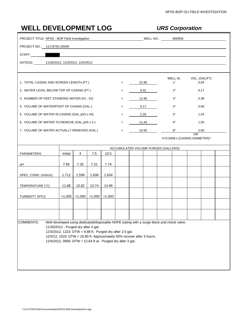| <b>WELL DEVELOPMENT LOG</b>                   |                                                                                                                                                                                                                                             |                                |          |                                                    |                   | <b>URS Corporation</b> |                      |                                                                                           |                                                  |  |  |  |  |  |
|-----------------------------------------------|---------------------------------------------------------------------------------------------------------------------------------------------------------------------------------------------------------------------------------------------|--------------------------------|----------|----------------------------------------------------|-------------------|------------------------|----------------------|-------------------------------------------------------------------------------------------|--------------------------------------------------|--|--|--|--|--|
| PROJECT TITLE: NFSS - BOP Field Investigation |                                                                                                                                                                                                                                             |                                |          |                                                    |                   |                        | MELL NO.: 2008 MW956 |                                                                                           |                                                  |  |  |  |  |  |
| PROJECT NO.: 11176781.00009                   |                                                                                                                                                                                                                                             |                                |          |                                                    |                   |                        |                      |                                                                                           |                                                  |  |  |  |  |  |
| STAFF:                                        |                                                                                                                                                                                                                                             |                                |          | <u> 1989 - John Stein, Amerikaansk politiker (</u> |                   |                        |                      |                                                                                           |                                                  |  |  |  |  |  |
| DATE(S): 11/30/2012, 12/3/2012, 12/4/2012     |                                                                                                                                                                                                                                             |                                |          |                                                    |                   |                        |                      |                                                                                           |                                                  |  |  |  |  |  |
| 1. TOTAL CASING AND SCREEN LENGTH (FT.)       |                                                                                                                                                                                                                                             |                                |          |                                                    | $=$               |                        | 22.88                | WELL ID.<br>1"                                                                            | VOL. (GAL/FT)<br>0.04                            |  |  |  |  |  |
| 2. WATER LEVEL BELOW TOP OF CASING (FT.)      |                                                                                                                                                                                                                                             |                                |          |                                                    | $=$               |                        | 9.42                 | 2"                                                                                        | 0.17                                             |  |  |  |  |  |
| 3. NUMBER OF FEET STANDING WATER (#1 - #2)    |                                                                                                                                                                                                                                             |                                |          |                                                    | $\qquad \qquad =$ |                        | 13.46                | 3"                                                                                        | 0.38                                             |  |  |  |  |  |
| 4. VOLUME OF WATER/FOOT OF CASING (GAL.)      |                                                                                                                                                                                                                                             |                                | $=$      |                                                    | 0.17              | 4"                     | 0.66                 |                                                                                           |                                                  |  |  |  |  |  |
| 5. VOLUME OF WATER IN CASING (GAL.)(#3 x #4)  |                                                                                                                                                                                                                                             |                                | $\equiv$ |                                                    | 2.29<br>5"        |                        |                      |                                                                                           |                                                  |  |  |  |  |  |
| 6. VOLUME OF WATER TO REMOVE (GAL.)(#5 x 5)   |                                                                                                                                                                                                                                             |                                | $=$      | 1.04<br>11.44<br>6"<br>1.50                        |                   |                        |                      |                                                                                           |                                                  |  |  |  |  |  |
| 7. VOLUME OF WATER ACTUALLY REMOVED (GAL.)    |                                                                                                                                                                                                                                             |                                |          |                                                    | $=$               |                        | 10.50<br>8"<br>2.60  |                                                                                           |                                                  |  |  |  |  |  |
|                                               |                                                                                                                                                                                                                                             |                                |          |                                                    |                   |                        |                      |                                                                                           | OR.<br>V=0.0408 x (CASING DIAMETER) <sup>2</sup> |  |  |  |  |  |
|                                               |                                                                                                                                                                                                                                             |                                |          |                                                    |                   |                        |                      |                                                                                           |                                                  |  |  |  |  |  |
| PARAMETERS                                    | Initial                                                                                                                                                                                                                                     | 4                              | 7.5      | 10.5                                               |                   |                        |                      | ACCUMULATED VOLUME PURGED (GALLONS)                                                       |                                                  |  |  |  |  |  |
|                                               |                                                                                                                                                                                                                                             |                                |          |                                                    |                   |                        |                      |                                                                                           |                                                  |  |  |  |  |  |
| рH                                            | 7.65                                                                                                                                                                                                                                        | 7.25                           | 7.31     | 7.74                                               |                   |                        |                      |                                                                                           |                                                  |  |  |  |  |  |
| SPEC. COND. (mS/cm)                           | 1.712                                                                                                                                                                                                                                       | 1.599                          | 1.636    | 1.634                                              |                   |                        |                      |                                                                                           |                                                  |  |  |  |  |  |
| TEMPERATURE (°C)                              | 11.88                                                                                                                                                                                                                                       | 10.82                          | 13.74    | 14.96                                              |                   |                        |                      |                                                                                           |                                                  |  |  |  |  |  |
|                                               |                                                                                                                                                                                                                                             |                                |          |                                                    |                   |                        |                      |                                                                                           |                                                  |  |  |  |  |  |
| TURBIDITY (NTU)                               |                                                                                                                                                                                                                                             | $>1,000$   $>1,000$   $>1,000$ |          | >1,000                                             |                   |                        |                      |                                                                                           |                                                  |  |  |  |  |  |
|                                               |                                                                                                                                                                                                                                             |                                |          |                                                    |                   |                        |                      |                                                                                           |                                                  |  |  |  |  |  |
|                                               |                                                                                                                                                                                                                                             |                                |          |                                                    |                   |                        |                      |                                                                                           |                                                  |  |  |  |  |  |
| <b>COMMENTS:</b>                              | 11/30/2012 - Purged dry after 4 gal.<br>12/3/2012, 1223: DTW = 9.88 ft. Purged dry after 3.5 gal.<br>12/3/12, 1520: DTW = 16.80 ft. Approximately 50% recover after 3 hours.<br>12/4/2012, 0900: DTW = 12.64 ft at. Purged dry after 3 gal. |                                |          |                                                    |                   |                        |                      | Well developed using dedicated/disposable HDPE tubing with a surge block and check valve. |                                                  |  |  |  |  |  |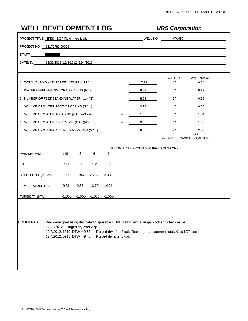| <b>WELL DEVELOPMENT LOG</b>                   |                                                                                                 |       |                     |        |     |      | <b>URS Corporation</b> |                                                                                                     |  |                                                 |  |  |  |
|-----------------------------------------------|-------------------------------------------------------------------------------------------------|-------|---------------------|--------|-----|------|------------------------|-----------------------------------------------------------------------------------------------------|--|-------------------------------------------------|--|--|--|
| PROJECT TITLE: NFSS - BOP Field Investigation |                                                                                                 |       |                     |        |     |      |                        |                                                                                                     |  |                                                 |  |  |  |
| PROJECT NO.: 11176781.00009                   |                                                                                                 |       |                     |        |     |      |                        |                                                                                                     |  |                                                 |  |  |  |
| STAFF:                                        |                                                                                                 |       |                     |        |     |      |                        |                                                                                                     |  |                                                 |  |  |  |
| DATE(S): 11/30/2012, 12/3/2012, 12/4/2012     |                                                                                                 |       |                     |        |     |      |                        |                                                                                                     |  |                                                 |  |  |  |
|                                               |                                                                                                 |       |                     |        |     |      |                        |                                                                                                     |  |                                                 |  |  |  |
| 1. TOTAL CASING AND SCREEN LENGTH (FT.)       |                                                                                                 |       |                     |        | $=$ |      | 17.98                  | WELL ID.<br>1"                                                                                      |  | VOL. (GAL/FT)<br>0.04                           |  |  |  |
| 2. WATER LEVEL BELOW TOP OF CASING (FT.)      |                                                                                                 |       |                     |        |     |      | 9.89                   | 2"                                                                                                  |  | 0.17                                            |  |  |  |
| 3. NUMBER OF FEET STANDING WATER (#1 - #2)    |                                                                                                 |       | 8.09                | 3"     |     | 0.38 |                        |                                                                                                     |  |                                                 |  |  |  |
| 4. VOLUME OF WATER/FOOT OF CASING (GAL.)      |                                                                                                 |       | 0.17                | 4"     |     | 0.66 |                        |                                                                                                     |  |                                                 |  |  |  |
| 5. VOLUME OF WATER IN CASING (GAL.)(#3 x #4)  | =                                                                                               |       | 1.38                | 5"     |     | 1.04 |                        |                                                                                                     |  |                                                 |  |  |  |
| 6. VOLUME OF WATER TO REMOVE (GAL.)(#5 x 5)   |                                                                                                 |       |                     |        |     |      | 6.88<br>6"<br>1.50     |                                                                                                     |  |                                                 |  |  |  |
| 7. VOLUME OF WATER ACTUALLY REMOVED (GAL.)    |                                                                                                 |       |                     |        | $=$ |      | 9.00<br>8"<br>2.60     |                                                                                                     |  |                                                 |  |  |  |
|                                               |                                                                                                 |       |                     |        |     |      |                        |                                                                                                     |  | OR<br>V=0.0408 x (CASING DIAMETER) <sup>2</sup> |  |  |  |
|                                               |                                                                                                 |       |                     |        |     |      |                        | ACCUMULATED VOLUME PURGED (GALLONS)                                                                 |  |                                                 |  |  |  |
| PARAMETERS                                    | Initial                                                                                         | 3     | 6                   | 9      |     |      |                        |                                                                                                     |  |                                                 |  |  |  |
| рH                                            | 7.11                                                                                            | 7.01  | 7.04                | 7.04   |     |      |                        |                                                                                                     |  |                                                 |  |  |  |
| SPEC. COND. (mS/cm)                           | 1.992                                                                                           | 1.947 | 2.235               | 2.335  |     |      |                        |                                                                                                     |  |                                                 |  |  |  |
| TEMPERATURE (°C)                              | 9.81                                                                                            | 9.55  | 13.70               | 14.21  |     |      |                        |                                                                                                     |  |                                                 |  |  |  |
| <b>TURBIDITY (NTU)</b>                        | >1,000                                                                                          |       | $>1,000$ $  >1,000$ | >1,000 |     |      |                        |                                                                                                     |  |                                                 |  |  |  |
|                                               |                                                                                                 |       |                     |        |     |      |                        |                                                                                                     |  |                                                 |  |  |  |
|                                               |                                                                                                 |       |                     |        |     |      |                        |                                                                                                     |  |                                                 |  |  |  |
| <b>COMMENTS:</b>                              |                                                                                                 |       |                     |        |     |      |                        | Well developed using dedicated/disposable HDPE tubing with a surge block and check valve.           |  |                                                 |  |  |  |
|                                               | 11/30/2012 - Purged dry after 3 gal.<br>12/4/2012, 0915: DTW = 9.48 ft. Purged dry after 3 gal. |       |                     |        |     |      |                        | 12/3/2012, 1310: DTW = 9.68 ft. Purged dry after 3 gal. Recharge rate approximately 0.10 ft/70 sec. |  |                                                 |  |  |  |
|                                               |                                                                                                 |       |                     |        |     |      |                        |                                                                                                     |  |                                                 |  |  |  |
|                                               |                                                                                                 |       |                     |        |     |      |                        |                                                                                                     |  |                                                 |  |  |  |
|                                               |                                                                                                 |       |                     |        |     |      |                        |                                                                                                     |  |                                                 |  |  |  |
|                                               |                                                                                                 |       |                     |        |     |      |                        |                                                                                                     |  |                                                 |  |  |  |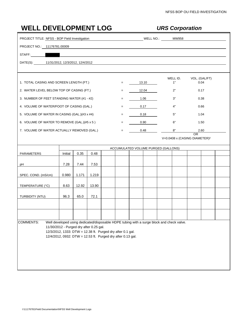|                     |                                                                                                                                                                                                                                                                                                                                                                                                                                                                                                                                                                                                                                                                                                                                                                                                                                                                                                                                                                |     |      |      |      | <b>URS Corporation</b> |       |                                     |                                                 |  |  |  |  |
|---------------------|----------------------------------------------------------------------------------------------------------------------------------------------------------------------------------------------------------------------------------------------------------------------------------------------------------------------------------------------------------------------------------------------------------------------------------------------------------------------------------------------------------------------------------------------------------------------------------------------------------------------------------------------------------------------------------------------------------------------------------------------------------------------------------------------------------------------------------------------------------------------------------------------------------------------------------------------------------------|-----|------|------|------|------------------------|-------|-------------------------------------|-------------------------------------------------|--|--|--|--|
|                     |                                                                                                                                                                                                                                                                                                                                                                                                                                                                                                                                                                                                                                                                                                                                                                                                                                                                                                                                                                |     |      |      |      | MELL NO.: MW958        |       |                                     |                                                 |  |  |  |  |
|                     |                                                                                                                                                                                                                                                                                                                                                                                                                                                                                                                                                                                                                                                                                                                                                                                                                                                                                                                                                                |     |      |      |      |                        |       |                                     |                                                 |  |  |  |  |
| STAFF:              |                                                                                                                                                                                                                                                                                                                                                                                                                                                                                                                                                                                                                                                                                                                                                                                                                                                                                                                                                                |     |      |      |      |                        |       |                                     |                                                 |  |  |  |  |
|                     |                                                                                                                                                                                                                                                                                                                                                                                                                                                                                                                                                                                                                                                                                                                                                                                                                                                                                                                                                                |     |      |      |      |                        |       |                                     |                                                 |  |  |  |  |
|                     |                                                                                                                                                                                                                                                                                                                                                                                                                                                                                                                                                                                                                                                                                                                                                                                                                                                                                                                                                                |     |      |      |      |                        |       |                                     |                                                 |  |  |  |  |
|                     | <b>WELL DEVELOPMENT LOG</b><br>PROJECT TITLE: NFSS - BOP Field Investigation<br>PROJECT NO.: 11176781.00009<br><u> 1988 - Jan Samuel Barbara, martin d</u><br>DATE(S): 11/31/2012, 12/3/2012, 12/4/2012<br>1. TOTAL CASING AND SCREEN LENGTH (FT.)<br>2. WATER LEVEL BELOW TOP OF CASING (FT.)<br>3. NUMBER OF FEET STANDING WATER (#1 - #2)<br>4. VOLUME OF WATER/FOOT OF CASING (GAL.)<br>5. VOLUME OF WATER IN CASING (GAL.)(#3 x #4)<br>6. VOLUME OF WATER TO REMOVE (GAL.)(#5 x 5)<br>7. VOLUME OF WATER ACTUALLY REMOVED (GAL.)<br>0.35<br>Initial<br>0.48<br>7.28<br>7.44<br>7.53<br>0.980<br>1.171<br>1.219<br>8.63<br>12.92<br>13.90<br>96.3<br>65.0<br>72.1<br><b>COMMENTS:</b><br>Well developed using dedicated/disposable HDPE tubing with a surge block and check valve.<br>11/30/2012 - Purged dry after 0.25 gal.<br>12/3/2012, 1333: DTW = 12.38 ft. Purged dry after 0.1 gal.<br>12/4/2012, 0932: DTW = 12.53 ft. Purged dry after 0.13 gal. |     |      |      |      |                        | 13.10 | WELL ID.<br>1"                      | VOL. (GAL/FT)<br>0.04                           |  |  |  |  |
|                     |                                                                                                                                                                                                                                                                                                                                                                                                                                                                                                                                                                                                                                                                                                                                                                                                                                                                                                                                                                |     |      |      | $=$  |                        | 12.04 | 2"                                  | 0.17                                            |  |  |  |  |
|                     |                                                                                                                                                                                                                                                                                                                                                                                                                                                                                                                                                                                                                                                                                                                                                                                                                                                                                                                                                                |     |      | $=$  | 1.06 |                        | 3"    | 0.38                                |                                                 |  |  |  |  |
|                     |                                                                                                                                                                                                                                                                                                                                                                                                                                                                                                                                                                                                                                                                                                                                                                                                                                                                                                                                                                | $=$ |      | 0.17 | 4"   | 0.66                   |       |                                     |                                                 |  |  |  |  |
|                     |                                                                                                                                                                                                                                                                                                                                                                                                                                                                                                                                                                                                                                                                                                                                                                                                                                                                                                                                                                | $=$ | 0.18 |      | 5"   | 1.04                   |       |                                     |                                                 |  |  |  |  |
|                     |                                                                                                                                                                                                                                                                                                                                                                                                                                                                                                                                                                                                                                                                                                                                                                                                                                                                                                                                                                |     |      |      | $=$  |                        | 0.90  | 6"                                  | 1.50                                            |  |  |  |  |
|                     |                                                                                                                                                                                                                                                                                                                                                                                                                                                                                                                                                                                                                                                                                                                                                                                                                                                                                                                                                                |     |      |      | $=$  | 0.48                   |       | 8"                                  | 2.60                                            |  |  |  |  |
|                     |                                                                                                                                                                                                                                                                                                                                                                                                                                                                                                                                                                                                                                                                                                                                                                                                                                                                                                                                                                |     |      |      |      |                        |       |                                     |                                                 |  |  |  |  |
|                     |                                                                                                                                                                                                                                                                                                                                                                                                                                                                                                                                                                                                                                                                                                                                                                                                                                                                                                                                                                |     |      |      |      |                        |       | ACCUMULATED VOLUME PURGED (GALLONS) |                                                 |  |  |  |  |
| <b>PARAMETERS</b>   |                                                                                                                                                                                                                                                                                                                                                                                                                                                                                                                                                                                                                                                                                                                                                                                                                                                                                                                                                                |     |      |      |      |                        |       |                                     |                                                 |  |  |  |  |
| рH                  |                                                                                                                                                                                                                                                                                                                                                                                                                                                                                                                                                                                                                                                                                                                                                                                                                                                                                                                                                                |     |      |      |      |                        |       |                                     |                                                 |  |  |  |  |
| SPEC. COND. (mS/cm) |                                                                                                                                                                                                                                                                                                                                                                                                                                                                                                                                                                                                                                                                                                                                                                                                                                                                                                                                                                |     |      |      |      |                        |       |                                     |                                                 |  |  |  |  |
| TEMPERATURE (°C)    |                                                                                                                                                                                                                                                                                                                                                                                                                                                                                                                                                                                                                                                                                                                                                                                                                                                                                                                                                                |     |      |      |      |                        |       |                                     |                                                 |  |  |  |  |
| TURBIDITY (NTU)     |                                                                                                                                                                                                                                                                                                                                                                                                                                                                                                                                                                                                                                                                                                                                                                                                                                                                                                                                                                |     |      |      |      |                        |       |                                     | OR<br>V=0.0408 x (CASING DIAMETER) <sup>2</sup> |  |  |  |  |
|                     |                                                                                                                                                                                                                                                                                                                                                                                                                                                                                                                                                                                                                                                                                                                                                                                                                                                                                                                                                                |     |      |      |      |                        |       |                                     |                                                 |  |  |  |  |
|                     |                                                                                                                                                                                                                                                                                                                                                                                                                                                                                                                                                                                                                                                                                                                                                                                                                                                                                                                                                                |     |      |      |      |                        |       |                                     |                                                 |  |  |  |  |
|                     |                                                                                                                                                                                                                                                                                                                                                                                                                                                                                                                                                                                                                                                                                                                                                                                                                                                                                                                                                                |     |      |      |      |                        |       |                                     |                                                 |  |  |  |  |
|                     |                                                                                                                                                                                                                                                                                                                                                                                                                                                                                                                                                                                                                                                                                                                                                                                                                                                                                                                                                                |     |      |      |      |                        |       |                                     |                                                 |  |  |  |  |
|                     |                                                                                                                                                                                                                                                                                                                                                                                                                                                                                                                                                                                                                                                                                                                                                                                                                                                                                                                                                                |     |      |      |      |                        |       |                                     |                                                 |  |  |  |  |
|                     |                                                                                                                                                                                                                                                                                                                                                                                                                                                                                                                                                                                                                                                                                                                                                                                                                                                                                                                                                                |     |      |      |      |                        |       |                                     |                                                 |  |  |  |  |
|                     |                                                                                                                                                                                                                                                                                                                                                                                                                                                                                                                                                                                                                                                                                                                                                                                                                                                                                                                                                                |     |      |      |      |                        |       |                                     |                                                 |  |  |  |  |
|                     |                                                                                                                                                                                                                                                                                                                                                                                                                                                                                                                                                                                                                                                                                                                                                                                                                                                                                                                                                                |     |      |      |      |                        |       |                                     |                                                 |  |  |  |  |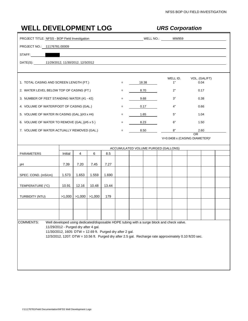|                             |                                                                                                                                                                                                                                                                                                                                                                                                                                                                                                                                                                                                                                                                                                                                                                                                                                                           |  |      |       |     |      | <b>URS Corporation</b> |                                     |                         |                                           |  |  |  |  |
|-----------------------------|-----------------------------------------------------------------------------------------------------------------------------------------------------------------------------------------------------------------------------------------------------------------------------------------------------------------------------------------------------------------------------------------------------------------------------------------------------------------------------------------------------------------------------------------------------------------------------------------------------------------------------------------------------------------------------------------------------------------------------------------------------------------------------------------------------------------------------------------------------------|--|------|-------|-----|------|------------------------|-------------------------------------|-------------------------|-------------------------------------------|--|--|--|--|
|                             |                                                                                                                                                                                                                                                                                                                                                                                                                                                                                                                                                                                                                                                                                                                                                                                                                                                           |  |      |       |     |      | MELL NO.: 2008 MW959   |                                     |                         |                                           |  |  |  |  |
| PROJECT NO.: 11176781.00009 |                                                                                                                                                                                                                                                                                                                                                                                                                                                                                                                                                                                                                                                                                                                                                                                                                                                           |  |      |       |     |      |                        |                                     |                         |                                           |  |  |  |  |
| STAFF:                      |                                                                                                                                                                                                                                                                                                                                                                                                                                                                                                                                                                                                                                                                                                                                                                                                                                                           |  |      |       |     |      |                        |                                     |                         |                                           |  |  |  |  |
|                             |                                                                                                                                                                                                                                                                                                                                                                                                                                                                                                                                                                                                                                                                                                                                                                                                                                                           |  |      |       |     |      |                        |                                     |                         |                                           |  |  |  |  |
|                             |                                                                                                                                                                                                                                                                                                                                                                                                                                                                                                                                                                                                                                                                                                                                                                                                                                                           |  |      |       |     |      |                        |                                     |                         |                                           |  |  |  |  |
|                             | <b>WELL DEVELOPMENT LOG</b><br>PROJECT TITLE: NFSS - BOP Field Investigation<br>DATE(S): 11/29/2012, 11/30/2012, 12/3/2012<br>1. TOTAL CASING AND SCREEN LENGTH (FT.)<br>2. WATER LEVEL BELOW TOP OF CASING (FT.)<br>3. NUMBER OF FEET STANDING WATER (#1 - #2)<br>4. VOLUME OF WATER/FOOT OF CASING (GAL.)<br>5. VOLUME OF WATER IN CASING (GAL.)(#3 x #4)<br>7. VOLUME OF WATER ACTUALLY REMOVED (GAL.)<br>4<br>Initial<br>6<br>7.39<br>7.20<br>7.45<br>1.653<br>1.573<br>1.559<br>10.48<br>10.91<br>12.16<br>>1,000<br>$>1,000$ $  >1,000$<br>Well developed using dedicated/disposable HDPE tubing with a surge block and check valve.<br>11/29/2012 - Purged dry after 4 gal.<br>11/30/2012, 1605: DTW = 12.69 ft. Purged dry after 2 gal.<br>12/3/2012, 1207: DTW = 10.56 ft. Purged dry after 2.5 gal. Recharge rate approximately 0.10 ft/20 sec. |  |      |       | $=$ |      | 18.38                  |                                     | WELL ID.<br>1"          | VOL. (GAL/FT)<br>0.04                     |  |  |  |  |
|                             |                                                                                                                                                                                                                                                                                                                                                                                                                                                                                                                                                                                                                                                                                                                                                                                                                                                           |  |      |       |     |      | 8.70                   |                                     | 2"                      | 0.17                                      |  |  |  |  |
|                             |                                                                                                                                                                                                                                                                                                                                                                                                                                                                                                                                                                                                                                                                                                                                                                                                                                                           |  | 9.68 |       | 3"  | 0.38 |                        |                                     |                         |                                           |  |  |  |  |
|                             |                                                                                                                                                                                                                                                                                                                                                                                                                                                                                                                                                                                                                                                                                                                                                                                                                                                           |  | 0.17 |       | 4"  | 0.66 |                        |                                     |                         |                                           |  |  |  |  |
|                             |                                                                                                                                                                                                                                                                                                                                                                                                                                                                                                                                                                                                                                                                                                                                                                                                                                                           |  | 1.65 |       | 5"  | 1.04 |                        |                                     |                         |                                           |  |  |  |  |
|                             | 6. VOLUME OF WATER TO REMOVE (GAL.)(#5 x 5)                                                                                                                                                                                                                                                                                                                                                                                                                                                                                                                                                                                                                                                                                                                                                                                                               |  |      |       |     |      | 8.23                   |                                     | 6"                      | 1.50                                      |  |  |  |  |
|                             |                                                                                                                                                                                                                                                                                                                                                                                                                                                                                                                                                                                                                                                                                                                                                                                                                                                           |  |      |       | $=$ |      | 8.50                   |                                     | 8"<br>2.60<br><b>OR</b> |                                           |  |  |  |  |
|                             |                                                                                                                                                                                                                                                                                                                                                                                                                                                                                                                                                                                                                                                                                                                                                                                                                                                           |  |      |       |     |      |                        |                                     |                         | V=0.0408 x (CASING DIAMETER) <sup>2</sup> |  |  |  |  |
|                             |                                                                                                                                                                                                                                                                                                                                                                                                                                                                                                                                                                                                                                                                                                                                                                                                                                                           |  |      |       |     |      |                        | ACCUMULATED VOLUME PURGED (GALLONS) |                         |                                           |  |  |  |  |
| PARAMETERS                  |                                                                                                                                                                                                                                                                                                                                                                                                                                                                                                                                                                                                                                                                                                                                                                                                                                                           |  |      | 8.5   |     |      |                        |                                     |                         |                                           |  |  |  |  |
| рH                          |                                                                                                                                                                                                                                                                                                                                                                                                                                                                                                                                                                                                                                                                                                                                                                                                                                                           |  |      | 7.27  |     |      |                        |                                     |                         |                                           |  |  |  |  |
| SPEC. COND. (mS/cm)         |                                                                                                                                                                                                                                                                                                                                                                                                                                                                                                                                                                                                                                                                                                                                                                                                                                                           |  |      | 1.690 |     |      |                        |                                     |                         |                                           |  |  |  |  |
| TEMPERATURE (°C)            |                                                                                                                                                                                                                                                                                                                                                                                                                                                                                                                                                                                                                                                                                                                                                                                                                                                           |  |      | 13.44 |     |      |                        |                                     |                         |                                           |  |  |  |  |
| TURBIDITY (NTU)             |                                                                                                                                                                                                                                                                                                                                                                                                                                                                                                                                                                                                                                                                                                                                                                                                                                                           |  |      | 179   |     |      |                        |                                     |                         |                                           |  |  |  |  |
|                             |                                                                                                                                                                                                                                                                                                                                                                                                                                                                                                                                                                                                                                                                                                                                                                                                                                                           |  |      |       |     |      |                        |                                     |                         |                                           |  |  |  |  |
|                             |                                                                                                                                                                                                                                                                                                                                                                                                                                                                                                                                                                                                                                                                                                                                                                                                                                                           |  |      |       |     |      |                        |                                     |                         |                                           |  |  |  |  |
| <b>COMMENTS:</b>            |                                                                                                                                                                                                                                                                                                                                                                                                                                                                                                                                                                                                                                                                                                                                                                                                                                                           |  |      |       |     |      |                        |                                     |                         |                                           |  |  |  |  |
|                             |                                                                                                                                                                                                                                                                                                                                                                                                                                                                                                                                                                                                                                                                                                                                                                                                                                                           |  |      |       |     |      |                        |                                     |                         |                                           |  |  |  |  |
|                             |                                                                                                                                                                                                                                                                                                                                                                                                                                                                                                                                                                                                                                                                                                                                                                                                                                                           |  |      |       |     |      |                        |                                     |                         |                                           |  |  |  |  |
|                             |                                                                                                                                                                                                                                                                                                                                                                                                                                                                                                                                                                                                                                                                                                                                                                                                                                                           |  |      |       |     |      |                        |                                     |                         |                                           |  |  |  |  |
|                             |                                                                                                                                                                                                                                                                                                                                                                                                                                                                                                                                                                                                                                                                                                                                                                                                                                                           |  |      |       |     |      |                        |                                     |                         |                                           |  |  |  |  |
|                             |                                                                                                                                                                                                                                                                                                                                                                                                                                                                                                                                                                                                                                                                                                                                                                                                                                                           |  |      |       |     |      |                        |                                     |                         |                                           |  |  |  |  |